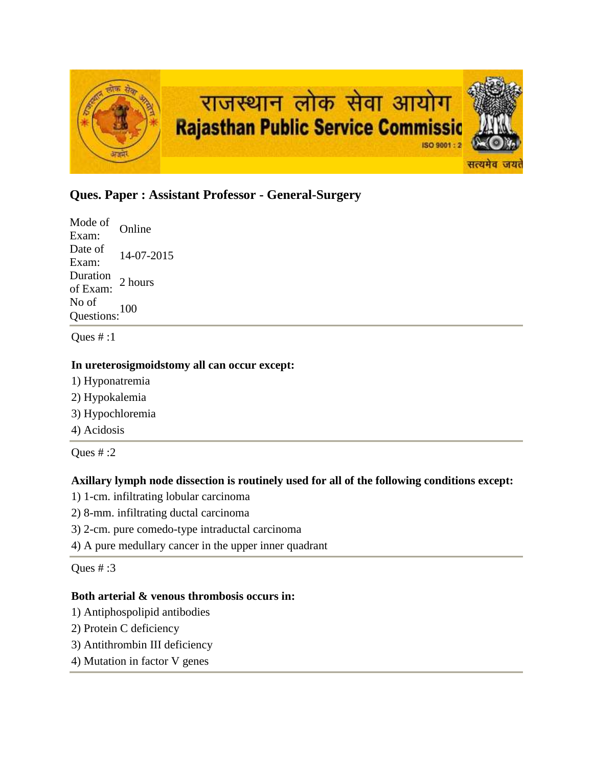

# **Ques. Paper : Assistant Professor - General-Surgery**

Mode of Exam: Online Date of  $\frac{\text{Date of}}{\text{Exam:}}$  14-07-2015 Duration<br>of Exam: 2 hours No of Questions:<sup>100</sup>

Ques  $#:1$ 

## **In ureterosigmoidstomy all can occur except:**

- 1) Hyponatremia
- 2) Hypokalemia
- 3) Hypochloremia
- 4) Acidosis

Ques  $# 2$ 

# **Axillary lymph node dissection is routinely used for all of the following conditions except:**

- 1) 1-cm. infiltrating lobular carcinoma
- 2) 8-mm. infiltrating ductal carcinoma
- 3) 2-cm. pure comedo-type intraductal carcinoma
- 4) A pure medullary cancer in the upper inner quadrant

Ques # :3

## **Both arterial & venous thrombosis occurs in:**

- 1) Antiphospolipid antibodies
- 2) Protein C deficiency
- 3) Antithrombin III deficiency
- 4) Mutation in factor V genes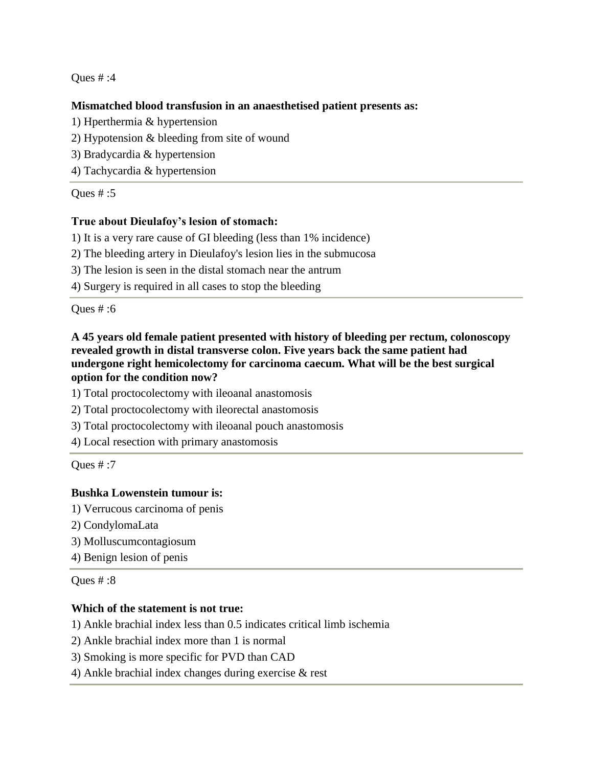## **Mismatched blood transfusion in an anaesthetised patient presents as:**

- 1) Hperthermia & hypertension
- 2) Hypotension & bleeding from site of wound
- 3) Bradycardia & hypertension
- 4) Tachycardia & hypertension

Oues  $\#$ :5

## **True about Dieulafoy's lesion of stomach:**

- 1) It is a very rare cause of GI bleeding (less than 1% incidence)
- 2) The bleeding artery in Dieulafoy's lesion lies in the submucosa
- 3) The lesion is seen in the distal stomach near the antrum
- 4) Surgery is required in all cases to stop the bleeding

Ques # :6

## **A 45 years old female patient presented with history of bleeding per rectum, colonoscopy revealed growth in distal transverse colon. Five years back the same patient had undergone right hemicolectomy for carcinoma caecum. What will be the best surgical option for the condition now?**

1) Total proctocolectomy with ileoanal anastomosis

- 2) Total proctocolectomy with ileorectal anastomosis
- 3) Total proctocolectomy with ileoanal pouch anastomosis
- 4) Local resection with primary anastomosis

Ques # :7

## **Bushka Lowenstein tumour is:**

- 1) Verrucous carcinoma of penis
- 2) CondylomaLata
- 3) Molluscumcontagiosum
- 4) Benign lesion of penis

Ques # :8

## **Which of the statement is not true:**

1) Ankle brachial index less than 0.5 indicates critical limb ischemia

- 2) Ankle brachial index more than 1 is normal
- 3) Smoking is more specific for PVD than CAD
- 4) Ankle brachial index changes during exercise & rest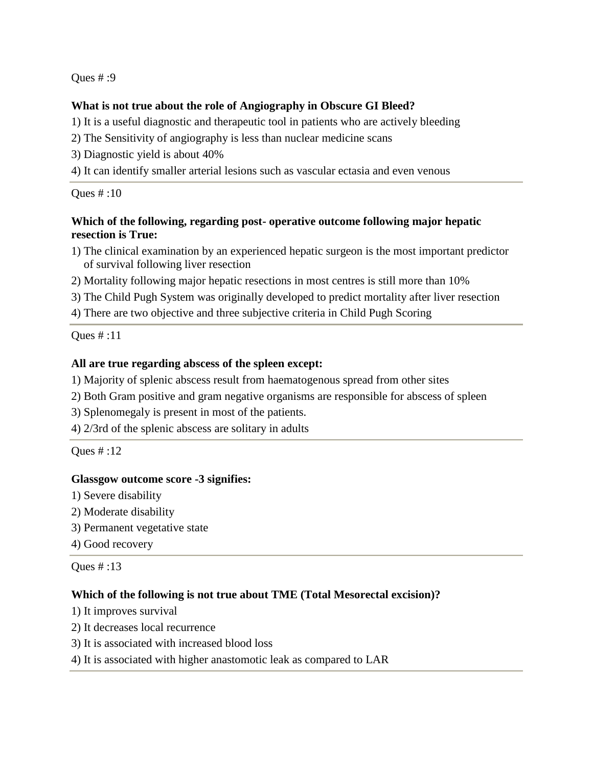## **What is not true about the role of Angiography in Obscure GI Bleed?**

1) It is a useful diagnostic and therapeutic tool in patients who are actively bleeding

- 2) The Sensitivity of angiography is less than nuclear medicine scans
- 3) Diagnostic yield is about 40%
- 4) It can identify smaller arterial lesions such as vascular ectasia and even venous

## Ques # :10

## **Which of the following, regarding post- operative outcome following major hepatic resection is True:**

- 1) The clinical examination by an experienced hepatic surgeon is the most important predictor of survival following liver resection
- 2) Mortality following major hepatic resections in most centres is still more than 10%
- 3) The Child Pugh System was originally developed to predict mortality after liver resection
- 4) There are two objective and three subjective criteria in Child Pugh Scoring

Ques # :11

## **All are true regarding abscess of the spleen except:**

- 1) Majority of splenic abscess result from haematogenous spread from other sites
- 2) Both Gram positive and gram negative organisms are responsible for abscess of spleen
- 3) Splenomegaly is present in most of the patients.
- 4) 2/3rd of the splenic abscess are solitary in adults

Ques # :12

## **Glassgow outcome score -3 signifies:**

- 1) Severe disability
- 2) Moderate disability
- 3) Permanent vegetative state
- 4) Good recovery

Ques # :13

# **Which of the following is not true about TME (Total Mesorectal excision)?**

- 1) It improves survival
- 2) It decreases local recurrence
- 3) It is associated with increased blood loss
- 4) It is associated with higher anastomotic leak as compared to LAR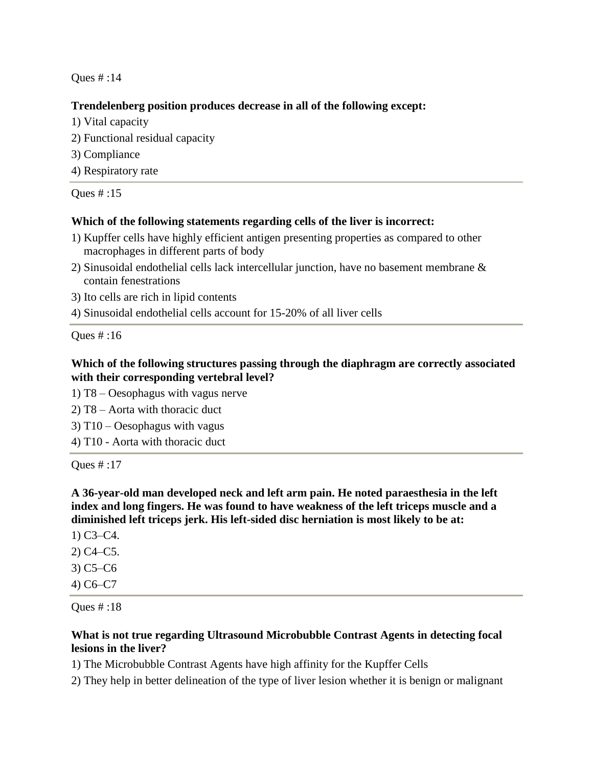## **Trendelenberg position produces decrease in all of the following except:**

- 1) Vital capacity
- 2) Functional residual capacity
- 3) Compliance
- 4) Respiratory rate

Ques # :15

## **Which of the following statements regarding cells of the liver is incorrect:**

- 1) Kupffer cells have highly efficient antigen presenting properties as compared to other macrophages in different parts of body
- 2) Sinusoidal endothelial cells lack intercellular junction, have no basement membrane & contain fenestrations
- 3) Ito cells are rich in lipid contents
- 4) Sinusoidal endothelial cells account for 15-20% of all liver cells

Ques # :16

# **Which of the following structures passing through the diaphragm are correctly associated with their corresponding vertebral level?**

- 1) T8 Oesophagus with vagus nerve
- 2) T8 Aorta with thoracic duct
- 3) T10 Oesophagus with vagus
- 4) T10 Aorta with thoracic duct

Ques # :17

**A 36-year-old man developed neck and left arm pain. He noted paraesthesia in the left index and long fingers. He was found to have weakness of the left triceps muscle and a diminished left triceps jerk. His left-sided disc herniation is most likely to be at:**

- 1) C3–C4.
- 2) C4–C5.
- 3) C5–C6
- 4) C6–C7

Ques # :18

# **What is not true regarding Ultrasound Microbubble Contrast Agents in detecting focal lesions in the liver?**

1) The Microbubble Contrast Agents have high affinity for the Kupffer Cells

2) They help in better delineation of the type of liver lesion whether it is benign or malignant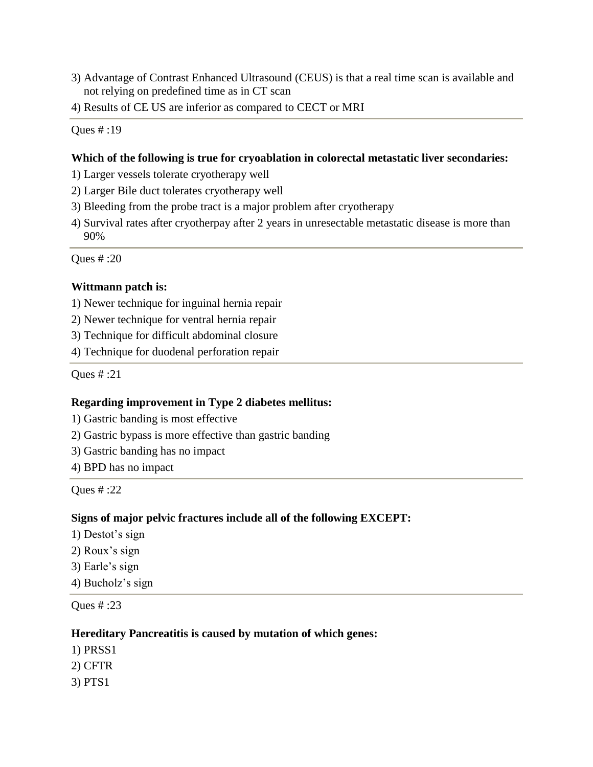- 3) Advantage of Contrast Enhanced Ultrasound (CEUS) is that a real time scan is available and not relying on predefined time as in CT scan
- 4) Results of CE US are inferior as compared to CECT or MRI

#### **Which of the following is true for cryoablation in colorectal metastatic liver secondaries:**

- 1) Larger vessels tolerate cryotherapy well
- 2) Larger Bile duct tolerates cryotherapy well
- 3) Bleeding from the probe tract is a major problem after cryotherapy
- 4) Survival rates after cryotherpay after 2 years in unresectable metastatic disease is more than 90%

Ques # :20

#### **Wittmann patch is:**

- 1) Newer technique for inguinal hernia repair
- 2) Newer technique for ventral hernia repair
- 3) Technique for difficult abdominal closure
- 4) Technique for duodenal perforation repair

Ques # :21

## **Regarding improvement in Type 2 diabetes mellitus:**

- 1) Gastric banding is most effective
- 2) Gastric bypass is more effective than gastric banding
- 3) Gastric banding has no impact
- 4) BPD has no impact

Ques # :22

#### **Signs of major pelvic fractures include all of the following EXCEPT:**

- 1) Destot's sign
- 2) Roux's sign
- 3) Earle's sign
- 4) Bucholz's sign

Ques # :23

#### **Hereditary Pancreatitis is caused by mutation of which genes:**

- 1) PRSS1
- 2) CFTR
- 3) PTS1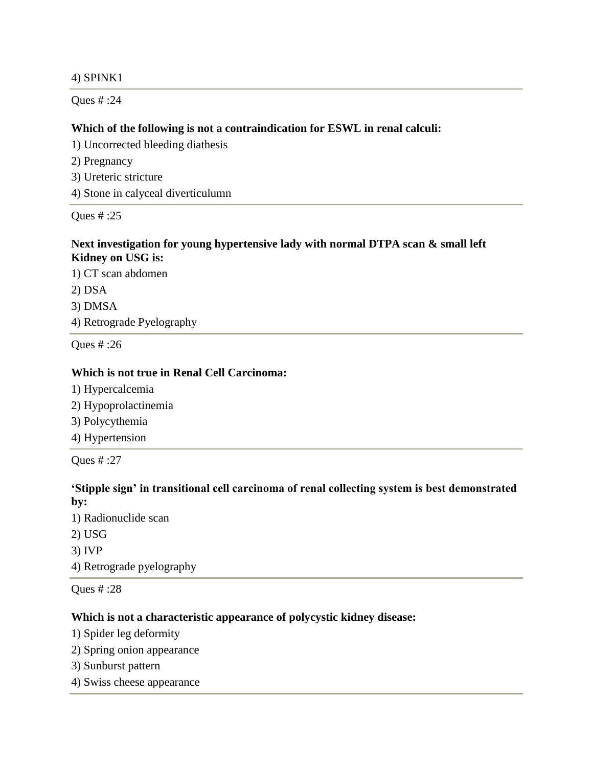## 4) SPINK1

Ques # :24

## **Which of the following is not a contraindication for ESWL in renal calculi:**

1) Uncorrected bleeding diathesis

- 2) Pregnancy
- 3) Ureteric stricture
- 4) Stone in calyceal diverticulumn

Ques # :25

## **Next investigation for young hypertensive lady with normal DTPA scan & small left Kidney on USG is:**

1) CT scan abdomen 2) DSA 3) DMSA 4) Retrograde Pyelography

Ques # :26

## **Which is not true in Renal Cell Carcinoma:**

- 1) Hypercalcemia
- 2) Hypoprolactinemia
- 3) Polycythemia
- 4) Hypertension

Ques # :27

# **'Stipple sign' in transitional cell carcinoma of renal collecting system is best demonstrated by:**

- 1) Radionuclide scan 2) USG
- 3) IVP
- 4) Retrograde pyelography

Ques # :28

# **Which is not a characteristic appearance of polycystic kidney disease:**

- 1) Spider leg deformity
- 2) Spring onion appearance
- 3) Sunburst pattern
- 4) Swiss cheese appearance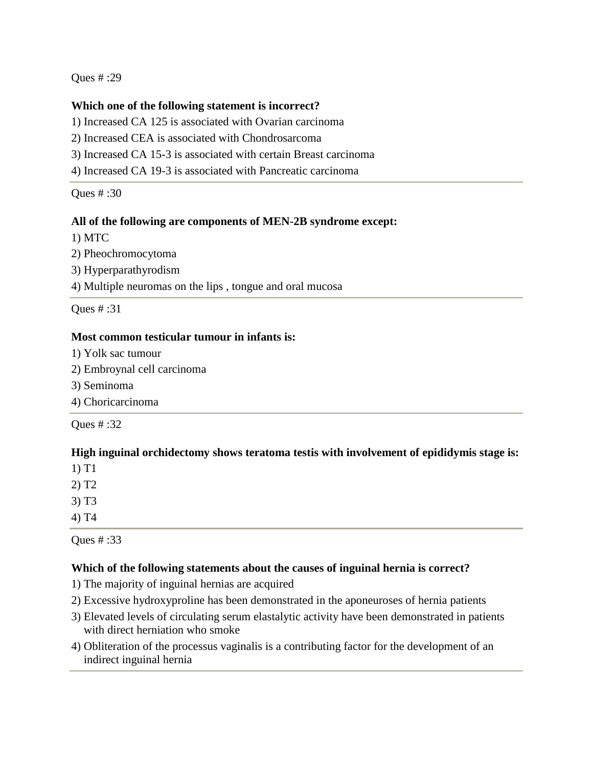## **Which one of the following statement is incorrect?**

1) Increased CA 125 is associated with Ovarian carcinoma

2) Increased CEA is associated with Chondrosarcoma

3) Increased CA 15-3 is associated with certain Breast carcinoma

4) Increased CA 19-3 is associated with Pancreatic carcinoma

Ques # :30

## **All of the following are components of MEN-2B syndrome except:**

1) MTC

2) Pheochromocytoma

3) Hyperparathyrodism

4) Multiple neuromas on the lips , tongue and oral mucosa

Ques # :31

## **Most common testicular tumour in infants is:**

- 1) Yolk sac tumour
- 2) Embroynal cell carcinoma
- 3) Seminoma

4) Choricarcinoma

Ques # :32

## **High inguinal orchidectomy shows teratoma testis with involvement of epididymis stage is:**

1) T1

2) T2

3) T3

4) T4

Ques # :33

## **Which of the following statements about the causes of inguinal hernia is correct?**

- 1) The majority of inguinal hernias are acquired
- 2) Excessive hydroxyproline has been demonstrated in the aponeuroses of hernia patients
- 3) Elevated levels of circulating serum elastalytic activity have been demonstrated in patients with direct herniation who smoke
- 4) Obliteration of the processus vaginalis is a contributing factor for the development of an indirect inguinal hernia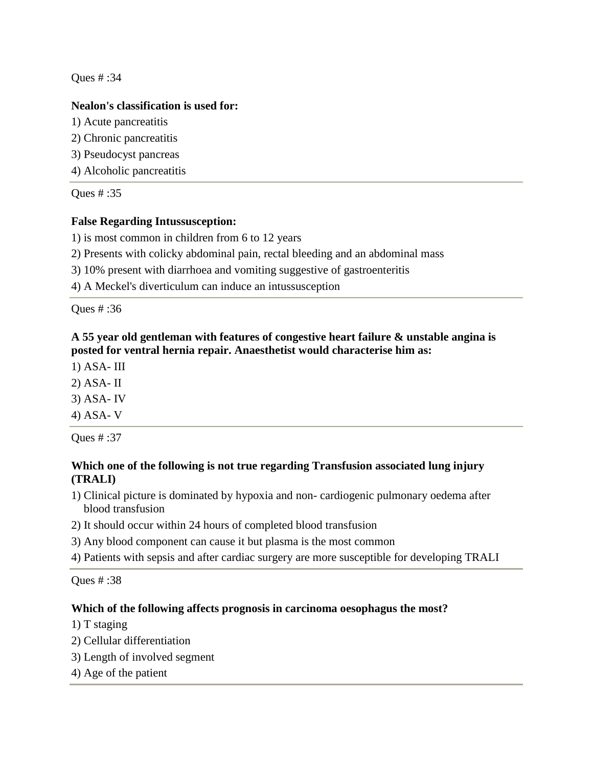## **Nealon's classification is used for:**

- 1) Acute pancreatitis
- 2) Chronic pancreatitis
- 3) Pseudocyst pancreas
- 4) Alcoholic pancreatitis

Ques # :35

# **False Regarding Intussusception:**

1) is most common in children from 6 to 12 years

2) Presents with colicky abdominal pain, rectal bleeding and an abdominal mass

3) 10% present with diarrhoea and vomiting suggestive of gastroenteritis

4) A Meckel's diverticulum can induce an intussusception

Ques # :36

# **A 55 year old gentleman with features of congestive heart failure & unstable angina is posted for ventral hernia repair. Anaesthetist would characterise him as:**

1) ASA- III

2) ASA- II

3) ASA- IV

4) ASA- V

Ques # :37

# **Which one of the following is not true regarding Transfusion associated lung injury (TRALI)**

- 1) Clinical picture is dominated by hypoxia and non- cardiogenic pulmonary oedema after blood transfusion
- 2) It should occur within 24 hours of completed blood transfusion
- 3) Any blood component can cause it but plasma is the most common
- 4) Patients with sepsis and after cardiac surgery are more susceptible for developing TRALI

Ques # :38

# **Which of the following affects prognosis in carcinoma oesophagus the most?**

1) T staging

- 2) Cellular differentiation
- 3) Length of involved segment
- 4) Age of the patient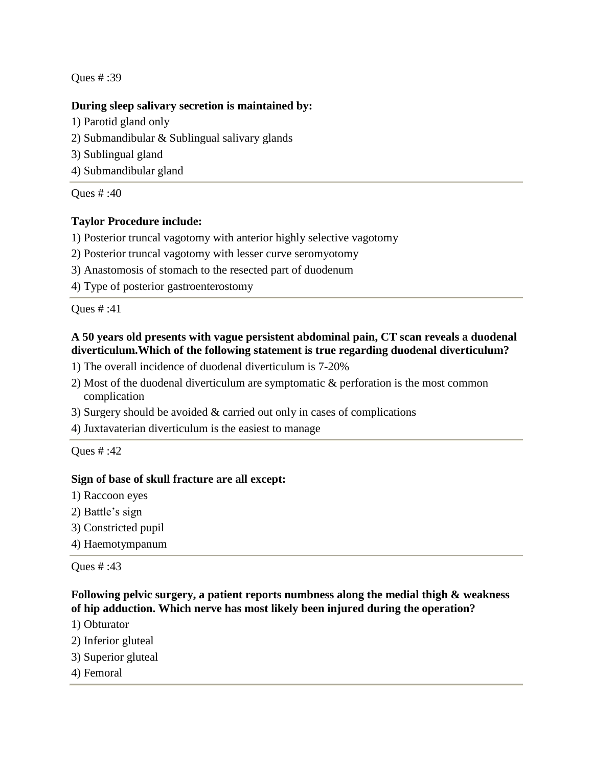## **During sleep salivary secretion is maintained by:**

- 1) Parotid gland only
- 2) Submandibular & Sublingual salivary glands
- 3) Sublingual gland
- 4) Submandibular gland

Ques # :40

# **Taylor Procedure include:**

- 1) Posterior truncal vagotomy with anterior highly selective vagotomy
- 2) Posterior truncal vagotomy with lesser curve seromyotomy
- 3) Anastomosis of stomach to the resected part of duodenum
- 4) Type of posterior gastroenterostomy

Ques # :41

# **A 50 years old presents with vague persistent abdominal pain, CT scan reveals a duodenal diverticulum.Which of the following statement is true regarding duodenal diverticulum?**

- 1) The overall incidence of duodenal diverticulum is 7-20%
- 2) Most of the duodenal diverticulum are symptomatic & perforation is the most common complication
- 3) Surgery should be avoided & carried out only in cases of complications
- 4) Juxtavaterian diverticulum is the easiest to manage

Ques # :42

## **Sign of base of skull fracture are all except:**

- 1) Raccoon eyes
- 2) Battle's sign
- 3) Constricted pupil
- 4) Haemotympanum

Ques # :43

**Following pelvic surgery, a patient reports numbness along the medial thigh & weakness of hip adduction. Which nerve has most likely been injured during the operation?**

- 1) Obturator
- 2) Inferior gluteal
- 3) Superior gluteal
- 4) Femoral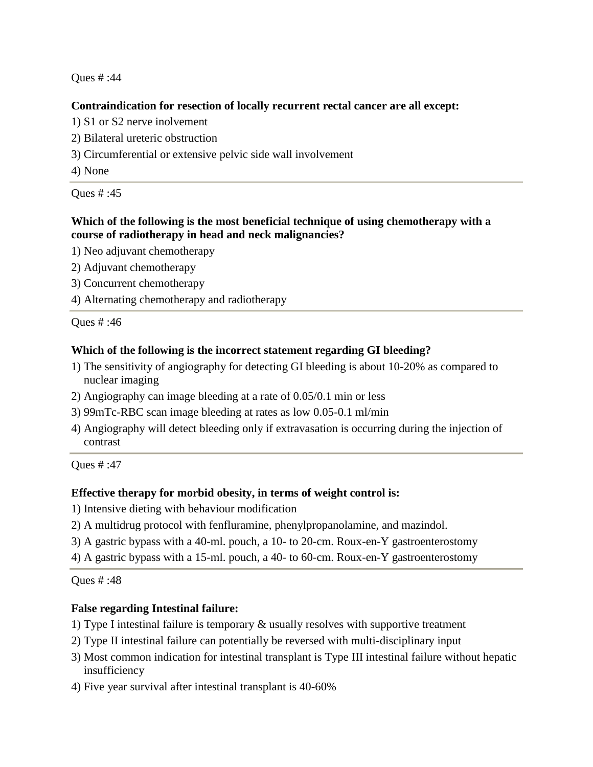## **Contraindication for resection of locally recurrent rectal cancer are all except:**

- 1) S1 or S2 nerve inolvement
- 2) Bilateral ureteric obstruction
- 3) Circumferential or extensive pelvic side wall involvement
- 4) None

Ques # :45

## **Which of the following is the most beneficial technique of using chemotherapy with a course of radiotherapy in head and neck malignancies?**

- 1) Neo adjuvant chemotherapy
- 2) Adjuvant chemotherapy
- 3) Concurrent chemotherapy
- 4) Alternating chemotherapy and radiotherapy

Ques # :46

## **Which of the following is the incorrect statement regarding GI bleeding?**

- 1) The sensitivity of angiography for detecting GI bleeding is about 10-20% as compared to nuclear imaging
- 2) Angiography can image bleeding at a rate of 0.05/0.1 min or less
- 3) 99mTc-RBC scan image bleeding at rates as low 0.05-0.1 ml/min
- 4) Angiography will detect bleeding only if extravasation is occurring during the injection of contrast

Ques # :47

## **Effective therapy for morbid obesity, in terms of weight control is:**

- 1) Intensive dieting with behaviour modification
- 2) A multidrug protocol with fenfluramine, phenylpropanolamine, and mazindol.
- 3) A gastric bypass with a 40-ml. pouch, a 10- to 20-cm. Roux-en-Y gastroenterostomy
- 4) A gastric bypass with a 15-ml. pouch, a 40- to 60-cm. Roux-en-Y gastroenterostomy

Ques # :48

## **False regarding Intestinal failure:**

- 1) Type I intestinal failure is temporary & usually resolves with supportive treatment
- 2) Type II intestinal failure can potentially be reversed with multi-disciplinary input
- 3) Most common indication for intestinal transplant is Type III intestinal failure without hepatic insufficiency
- 4) Five year survival after intestinal transplant is 40-60%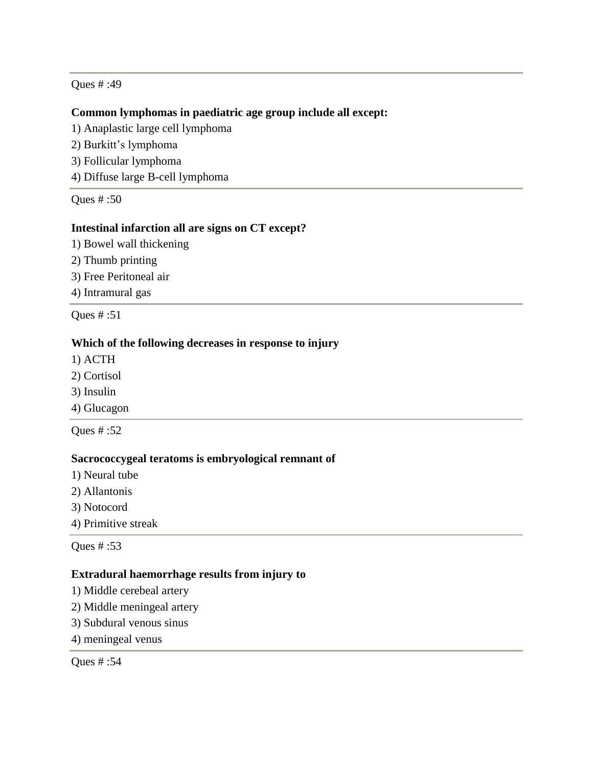#### **Common lymphomas in paediatric age group include all except:**

- 1) Anaplastic large cell lymphoma
- 2) Burkitt's lymphoma
- 3) Follicular lymphoma
- 4) Diffuse large B-cell lymphoma

Ques # :50

#### **Intestinal infarction all are signs on CT except?**

- 1) Bowel wall thickening
- 2) Thumb printing
- 3) Free Peritoneal air
- 4) Intramural gas

Ques # :51

#### **Which of the following decreases in response to injury**

- 1) ACTH
- 2) Cortisol
- 3) Insulin
- 4) Glucagon

Ques # :52

#### **Sacrococcygeal teratoms is embryological remnant of**

- 1) Neural tube
- 2) Allantonis
- 3) Notocord
- 4) Primitive streak

Ques # :53

#### **Extradural haemorrhage results from injury to**

- 1) Middle cerebeal artery
- 2) Middle meningeal artery
- 3) Subdural venous sinus
- 4) meningeal venus

Ques # :54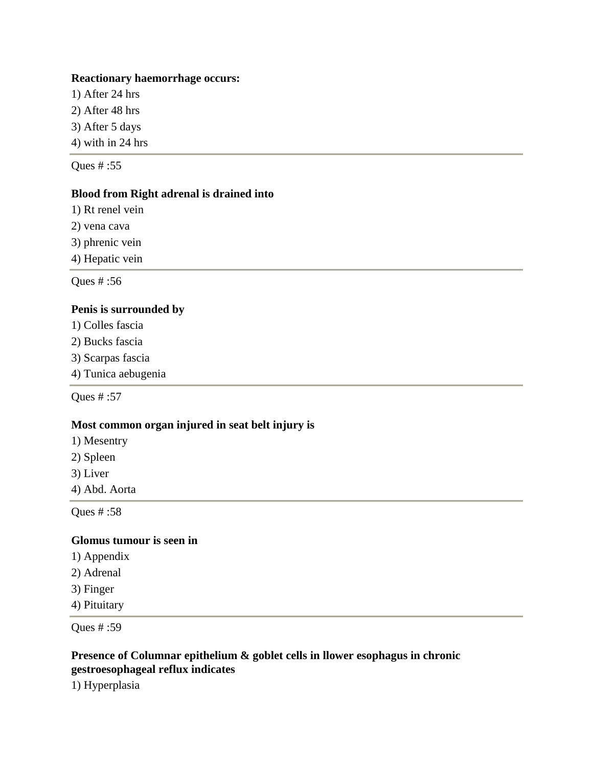#### **Reactionary haemorrhage occurs:**

1) After 24 hrs 2) After 48 hrs 3) After 5 days 4) with in 24 hrs

Ques # :55

## **Blood from Right adrenal is drained into**

1) Rt renel vein

2) vena cava

3) phrenic vein

4) Hepatic vein

Ques # :56

## **Penis is surrounded by**

- 1) Colles fascia
- 2) Bucks fascia
- 3) Scarpas fascia
- 4) Tunica aebugenia

Ques # :57

## **Most common organ injured in seat belt injury is**

- 1) Mesentry
- 2) Spleen
- 3) Liver
- 4) Abd. Aorta

Ques # :58

## **Glomus tumour is seen in**

- 1) Appendix
- 2) Adrenal
- 3) Finger
- 4) Pituitary

Ques # :59

## **Presence of Columnar epithelium & goblet cells in llower esophagus in chronic gestroesophageal reflux indicates**

1) Hyperplasia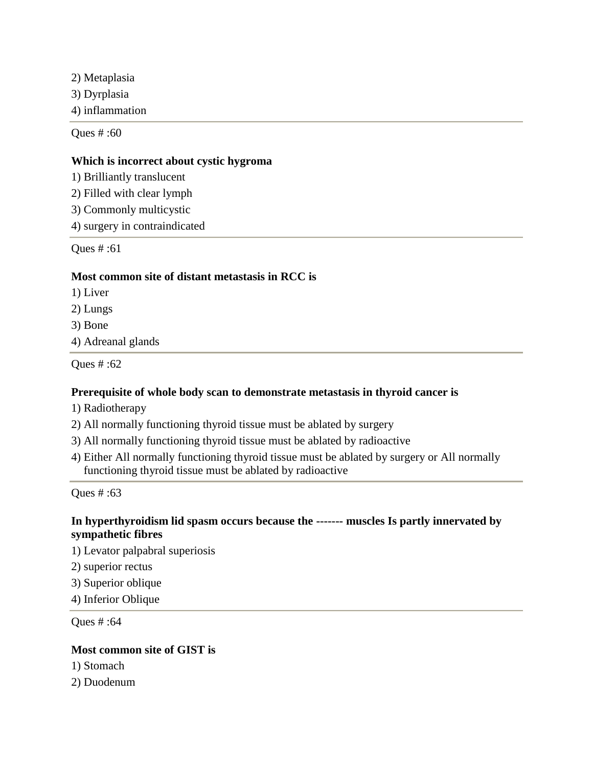2) Metaplasia 3) Dyrplasia 4) inflammation

Ques # :60

#### **Which is incorrect about cystic hygroma**

1) Brilliantly translucent

2) Filled with clear lymph

3) Commonly multicystic

4) surgery in contraindicated

Ques # :61

#### **Most common site of distant metastasis in RCC is**

1) Liver

2) Lungs

3) Bone

4) Adreanal glands

Ques # :62

## **Prerequisite of whole body scan to demonstrate metastasis in thyroid cancer is**

- 1) Radiotherapy
- 2) All normally functioning thyroid tissue must be ablated by surgery
- 3) All normally functioning thyroid tissue must be ablated by radioactive
- 4) Either All normally functioning thyroid tissue must be ablated by surgery or All normally functioning thyroid tissue must be ablated by radioactive

Ques # :63

## **In hyperthyroidism lid spasm occurs because the ------- muscles Is partly innervated by sympathetic fibres**

1) Levator palpabral superiosis

2) superior rectus

3) Superior oblique

4) Inferior Oblique

Ques # :64

## **Most common site of GIST is**

- 1) Stomach
- 2) Duodenum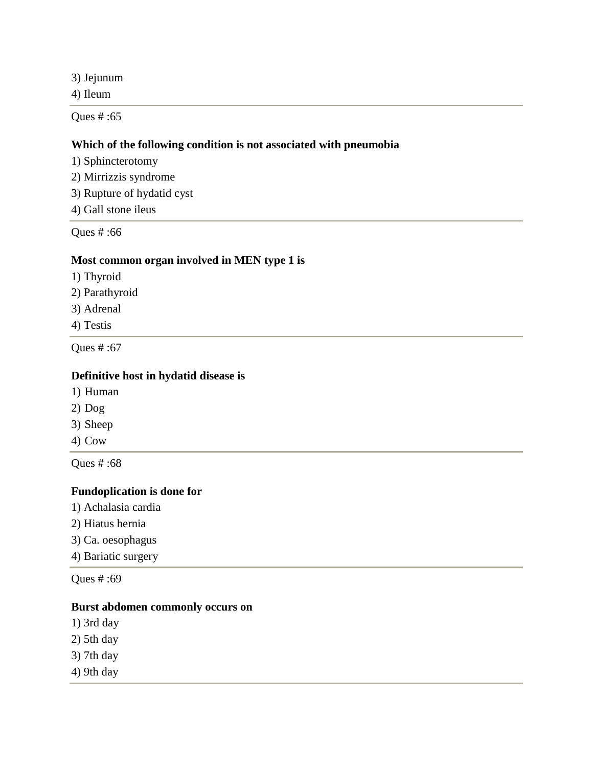3) Jejunum

4) Ileum

Ques # :65

#### **Which of the following condition is not associated with pneumobia**

- 1) Sphincterotomy
- 2) Mirrizzis syndrome
- 3) Rupture of hydatid cyst
- 4) Gall stone ileus

Ques # :66

#### **Most common organ involved in MEN type 1 is**

- 1) Thyroid
- 2) Parathyroid
- 3) Adrenal
- 4) Testis

Ques # :67

#### **Definitive host in hydatid disease is**

- 1) Human
- 2) Dog
- 3) Sheep
- 4) Cow

Ques # :68

# **Fundoplication is done for**

- 1) Achalasia cardia
- 2) Hiatus hernia
- 3) Ca. oesophagus
- 4) Bariatic surgery

Ques # :69

## **Burst abdomen commonly occurs on**

- 1) 3rd day
- 2) 5th day
- 3) 7th day
- 4) 9th day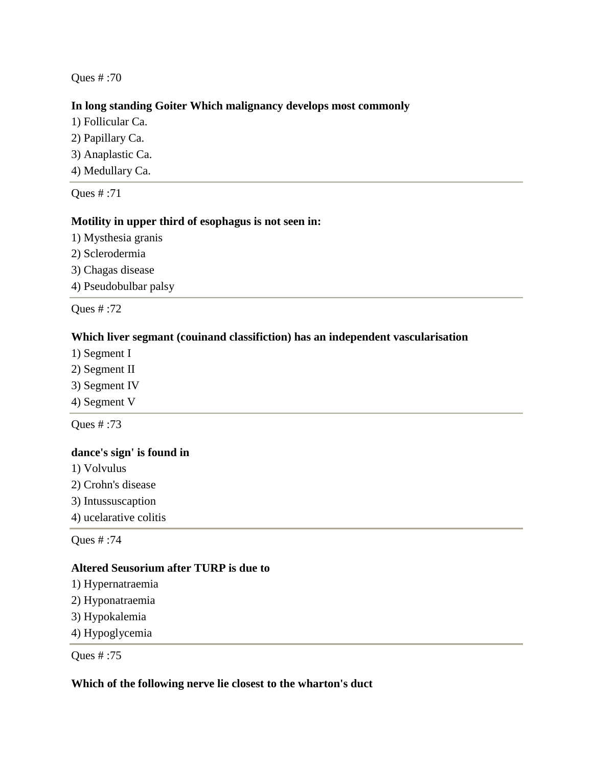## **In long standing Goiter Which malignancy develops most commonly**

- 1) Follicular Ca.
- 2) Papillary Ca.
- 3) Anaplastic Ca.
- 4) Medullary Ca.

Ques # :71

# **Motility in upper third of esophagus is not seen in:**

- 1) Mysthesia granis
- 2) Sclerodermia
- 3) Chagas disease
- 4) Pseudobulbar palsy

Ques # :72

## **Which liver segmant (couinand classifiction) has an independent vascularisation**

- 1) Segment I
- 2) Segment II
- 3) Segment IV
- 4) Segment V

Ques # :73

## **dance's sign' is found in**

- 1) Volvulus
- 2) Crohn's disease
- 3) Intussuscaption
- 4) ucelarative colitis

Ques # :74

#### **Altered Seusorium after TURP is due to**

- 1) Hypernatraemia
- 2) Hyponatraemia
- 3) Hypokalemia
- 4) Hypoglycemia

Ques # :75

#### **Which of the following nerve lie closest to the wharton's duct**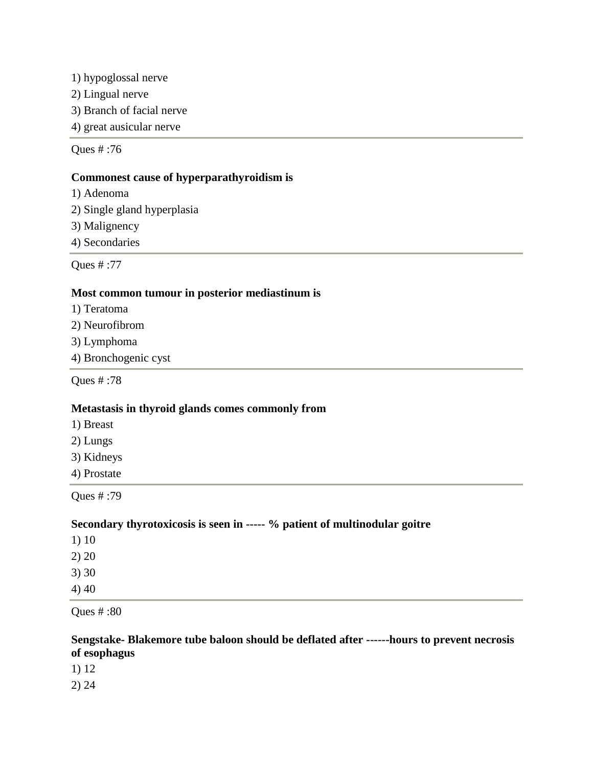1) hypoglossal nerve 2) Lingual nerve 3) Branch of facial nerve 4) great ausicular nerve

Ques # :76

## **Commonest cause of hyperparathyroidism is**

- 1) Adenoma
- 2) Single gland hyperplasia
- 3) Malignency
- 4) Secondaries

Ques # :77

## **Most common tumour in posterior mediastinum is**

- 1) Teratoma
- 2) Neurofibrom
- 3) Lymphoma
- 4) Bronchogenic cyst

Ques # :78

#### **Metastasis in thyroid glands comes commonly from**

- 1) Breast
- 2) Lungs
- 3) Kidneys
- 4) Prostate

Ques # :79

## **Secondary thyrotoxicosis is seen in ----- % patient of multinodular goitre**

- 1) 10 2) 20
- 3) 30
- 4) 40

Ques # :80

## **Sengstake- Blakemore tube baloon should be deflated after ------hours to prevent necrosis of esophagus**

1) 12

2) 24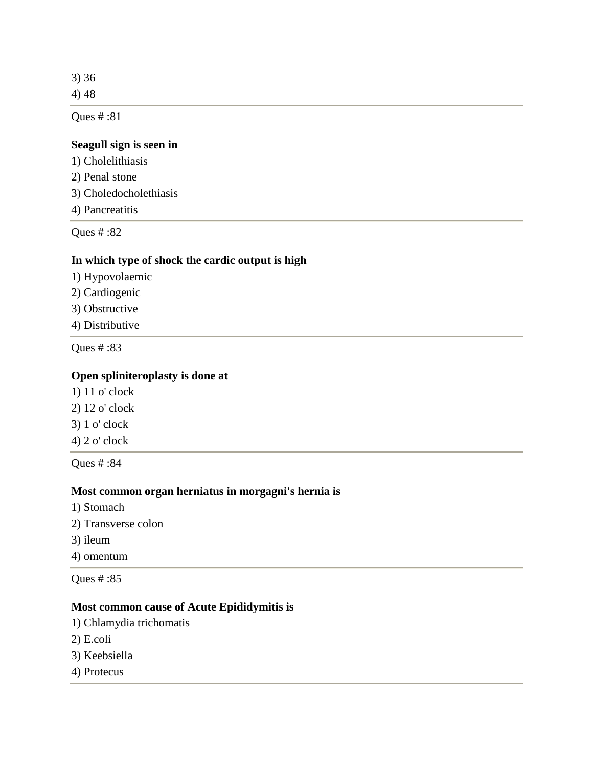3) 36 4) 48

Ques # :81

# **Seagull sign is seen in**

- 1) Cholelithiasis 2) Penal stone
- 3) Choledocholethiasis
- 4) Pancreatitis

Ques # :82

## **In which type of shock the cardic output is high**

- 1) Hypovolaemic
- 2) Cardiogenic
- 3) Obstructive
- 4) Distributive

Ques # :83

## **Open spliniteroplasty is done at**

- 1) 11 o' clock
- 2) 12 o' clock
- 3) 1 o' clock
- 4) 2 o' clock

Ques # :84

## **Most common organ herniatus in morgagni's hernia is**

- 1) Stomach
- 2) Transverse colon
- 3) ileum
- 4) omentum

Ques # :85

# **Most common cause of Acute Epididymitis is**

- 1) Chlamydia trichomatis
- 2) E.coli
- 3) Keebsiella
- 4) Protecus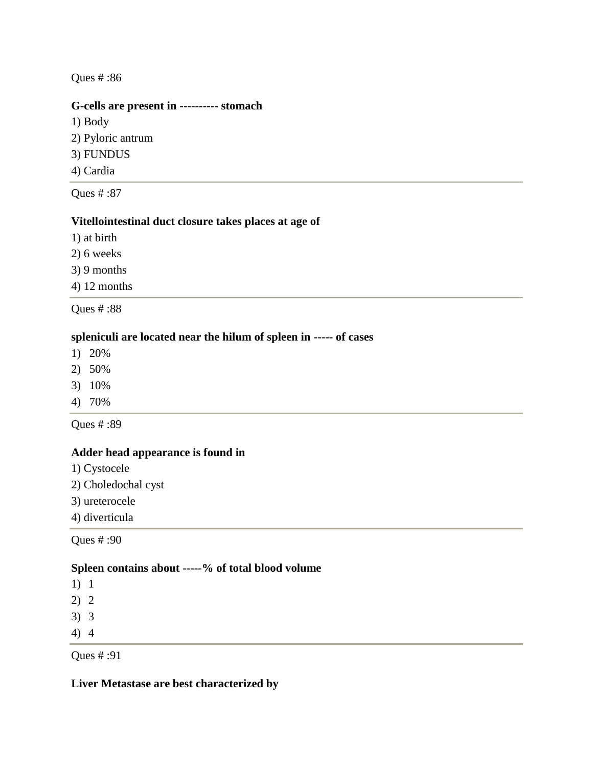#### **G-cells are present in ---------- stomach**

1) Body 2) Pyloric antrum 3) FUNDUS 4) Cardia

Ques # :87

# **Vitellointestinal duct closure takes places at age of**

1) at birth

2) 6 weeks

3) 9 months

4) 12 months

Ques # :88

#### **spleniculi are located near the hilum of spleen in ----- of cases**

- 1) 20%
- 2) 50%
- 3) 10%
- 4) 70%

Ques # :89

#### **Adder head appearance is found in**

- 1) Cystocele
- 2) Choledochal cyst
- 3) ureterocele
- 4) diverticula

Ques # :90

#### **Spleen contains about -----% of total blood volume**

1) 1

2) 2

- 3) 3
- 4) 4

Ques # :91

**Liver Metastase are best characterized by**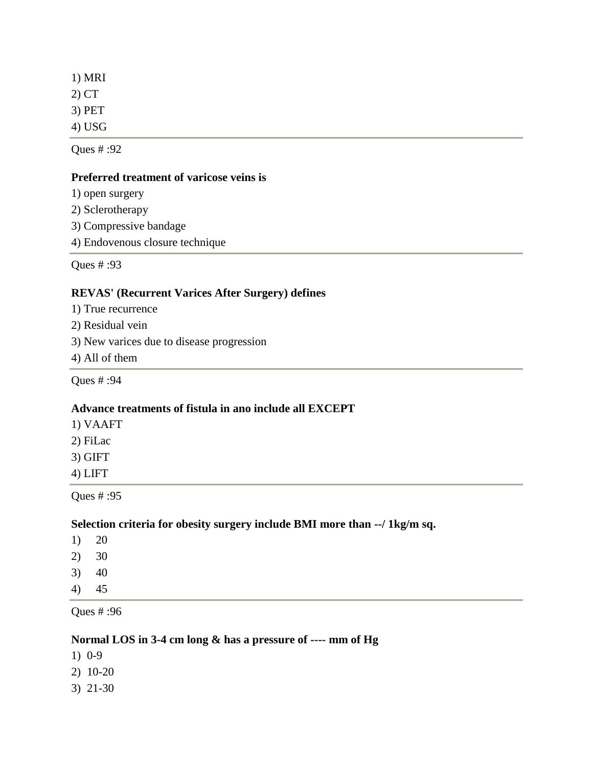1) MRI 2) CT 3) PET 4) USG

Ques # :92

#### **Preferred treatment of varicose veins is**

- 1) open surgery
- 2) Sclerotherapy
- 3) Compressive bandage
- 4) Endovenous closure technique

Ques # :93

## **REVAS' (Recurrent Varices After Surgery) defines**

- 1) True recurrence
- 2) Residual vein
- 3) New varices due to disease progression
- 4) All of them

Ques # :94

## **Advance treatments of fistula in ano include all EXCEPT**

- 1) VAAFT
- 2) FiLac
- 3) GIFT
- 4) LIFT

Ques # :95

# **Selection criteria for obesity surgery include BMI more than --/ 1kg/m sq.**

- 1) 20
- 2) 30
- 3) 40
- 4) 45

Ques # :96

## **Normal LOS in 3-4 cm long & has a pressure of ---- mm of Hg**

- 1) 0-9
- 2) 10-20
- 3) 21-30